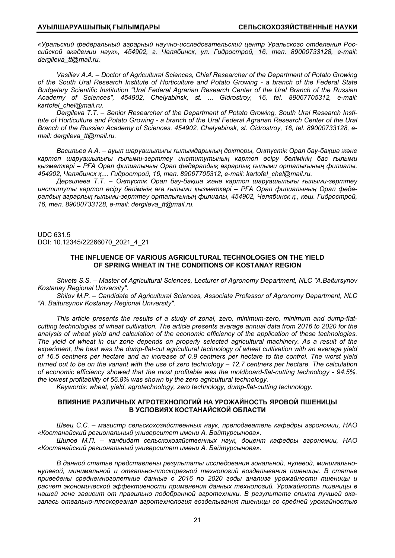*«Уральский федеральный аграрный научно-исследовательский центр Уральского отделения Российской академии наук», 454902, г. Челябинск, ул. Гидрострой, 16, тел. 89000733128, e-mail: dergileva\_tt@mail.ru.* 

*Vasiliev A.A. – Doctor of Agricultural Sciences, Chief Researcher of the Department of Potato Growing of the South Ural Research Institute of Horticulture and Potato Growing - a branch of the Federal State Budgetary Scientific Institution "Ural Federal Agrarian Research Center of the Ural Branch of the Russian Academy of Sciences", 454902, Chelyabinsk, st. ... Gidrostroy, 16, tel. 89067705312, e-mail: kartofel\_chel@mail.ru.* 

*Dergileva T.T. – Senior Researcher of the Department of Potato Growing, South Ural Research Institute of Horticulture and Potato Growing - a branch of the Ural Federal Agrarian Research Center of the Ural Branch of the Russian Academy of Sciences, 454902, Chelyabinsk, st. Gidrostroy, 16, tel. 89000733128, email: dergileva\_tt@mail.ru.* 

*Васильев А.А. – ауыл шаруашылығы ғылымдарының докторы, Оңтүстік Орал бау-бақша жəне картоп шаруашылығы ғылыми-зерттеу институтының картоп өсіру бөлімінің бас ғылыми қызметкері – РҒА Орал филиалының Орал федералдық аграрлық ғылыми орталығының филиалы, 454902, Челябинск қ.... Гидрострой, 16, тел. 89067705312, e-mail: kartofel\_chel@mail.ru.* 

*Дергилева Т.Т. – Оңтүстік Орал бау-бақша жəне картоп шаруашылығы ғылыми-зерттеу институты картоп өсіру бөлімінің аға ғылыми қызметкері – РҒА Орал филиалының Орал федералдық аграрлық ғылыми-зерттеу орталығының филиалы, 454902, Челябинск қ., көш. Гидрострой, 16, тел. 89000733128, e-mail: dergileva\_tt@mail.ru.* 

UDC 631.5 DOI: 10.12345/22266070\_2021\_4\_21

# **THE INFLUENCE OF VARIOUS AGRICULTURAL TECHNOLOGIES ON THE YIELD OF SPRING WHEAT IN THE CONDITIONS OF KOSTANAY REGION**

*Shvets S.S. – Master of Agricultural Sciences, Lecturer of Agronomy Department, NLC "A.Baitursynov Kostanay Regional University".* 

*Shilov M.P. – Candidate of Agricultural Sciences, Associate Professor of Agronomy Department, NLC "A. Baitursynov Kostanay Regional University".* 

*This article presents the results of a study of zonal, zero, minimum-zero, minimum and dump-flatcutting technologies of wheat cultivation. The article presents average annual data from 2016 to 2020 for the analysis of wheat yield and calculation of the economic efficiency of the application of these technologies. The yield of wheat in our zone depends on properly selected agricultural machinery. As a result of the experiment, the best was the dump-flat-cut agricultural technology of wheat cultivation with an average yield of 16.5 centners per hectare and an increase of 0.9 centners per hectare to the control. The worst yield turned out to be on the variant with the use of zero technology – 12.7 centners per hectare. The calculation of economic efficiency showed that the most profitable was the moldboard-flat-cutting technology - 94.5%, the lowest profitability of 56.8% was shown by the zero agricultural technology.* 

*Keywords: wheat, yield, agrotechnology, zero technology, dump-flat-cutting technology.* 

# **ВЛИЯНИЕ РАЗЛИЧНЫХ АГРОТЕХНОЛОГИЙ НА УРОЖАЙНОСТЬ ЯРОВОЙ ПШЕНИЦЫ В УСЛОВИЯХ КОСТАНАЙСКОЙ ОБЛАСТИ**

*Швец С.С. – магистр сельскохозяйственных наук, преподаватель кафедры агрономии, НАО «Костанайский региональный университет имени А. Байтурсынова».* 

*Шилов М.П. – кандидат сельскохозяйственных наук, доцент кафедры агрономии, НАО «Костанайский региональный университет имени А. Байтурсынова».* 

*В данной статье представлены результаты исследования зональной, нулевой, минимальнонулевой, минимальной и отвально-плоскорезной технологий возделывания пшеницы. В статье приведены среднемноголетние данные с 2016 по 2020 годы анализа урожайности пшеницы и расчет экономической эффективности применения данных технологий. Урожайность пшеницы в нашей зоне зависит от правильно подобранной агротехники. В результате опыта лучшей оказалась отвально-плоскорезная агротехнология возделывания пшеницы со средней урожайностью*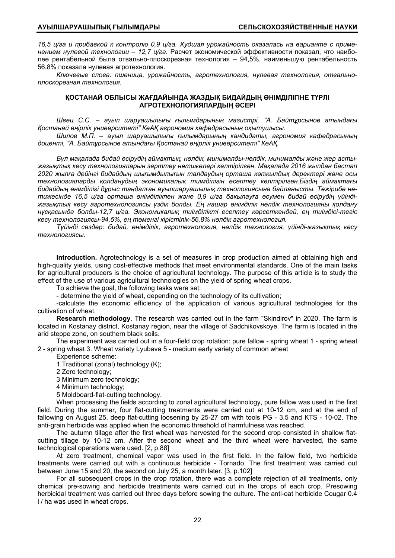16,5 ц/га и прибавкой к контролю 0,9 ц/га. Худшая урожайность оказалась на варианте с приме*нением нулевой технологии – 12,7 ц/га.* Расчет экономической эффективности показал, что наиболее рентабельной была отвально-плоскорезная технология – 94,5%, наименьшую рентабельность 56,8% показала нулевая агротехнология.

*Ключевые слова: пшеница, урожайность, агротехнология, нулевая технология, отвальноплоскорезная технология.* 

# **ҚОСТАНАЙ ОБЛЫСЫ ЖАҒДАЙЫНДА ЖАЗДЫҚ БИДАЙДЫҢ ӨНІМДІЛІГІНЕ ТҮРЛІ АГРОТЕХНОЛОГИЯЛАРДЫҢ ƏСЕРІ**

*Швец С.С. – ауыл шаруашылығы ғылымдарының магистрі, "А. Байтұрсынов атындағы Қостанай өңірлік университеті" КeАҚ агрономия кафедрасының оқытушысы.* 

*Шилов М.П. – ауыл шаруашылығы ғылымдарының кандидаты, агрономия кафедрасының доценті, "А. Байтұрсынов атындағы Қостанай өңірлік университеті" КеАҚ.* 

*Бұл мақалада бидай өсірудің аймақтық, нөлдік, минималды-нөлдік, минималды жəне жер астыжазықтық кесу технологияларын зерттеу нəтижелері келтірілген. Мақалада 2016 жылдан бастап 2020 жылға дейінгі бидайдың шығымдылығын талдаудың орташа көпжылдық деректері жəне осы технологияларды қолданудың экономикалық тиімділігін есептеу келтірілген.Біздің аймақтағы бидайдың өнімділігі дұрыс таңдалған ауылшаруашылық технологиясына байланысты. Тəжірибе нəтижесінде 16,5 ц/га орташа өнімділікпен жəне 0,9 ц/га бақылауға өсумен бидай өсірудің үйіндіжазықтық кесу агротехнологиясы үздік болды. Ең нашар өнімділік нөлдік технологияны қолдану нұсқасында болды-12,7 ц/га. Экономикалық тиімділікті есептеу көрсеткендей, ең тиімдісі-тегіс кесу технологиясы-94,5%, ең төменгі кірістілік-56,8% нөлдік агротехнология.* 

*Түйінді сөздер: бидай, өнімділік, агротехнология, нөлдік технология, үйінді-жазықтық кесу технологиясы.* 

**Introduction.** Agrotechnology is a set of measures in crop production aimed at obtaining high and high-quality yields, using cost-effective methods that meet environmental standards. One of the main tasks for agricultural producers is the choice of agricultural technology. The purpose of this article is to study the effect of the use of various agricultural technologies on the yield of spring wheat crops.

To achieve the goal, the following tasks were set:

- determine the yield of wheat, depending on the technology of its cultivation;

-calculate the economic efficiency of the application of various agricultural technologies for the cultivation of wheat.

**Research methodology**. The research was carried out in the farm "Skindirov" in 2020. The farm is located in Kostanay district, Kostanay region, near the village of Sadchikovskoye. The farm is located in the arid steppe zone, on southern black soils.

The experiment was carried out in a four-field crop rotation: pure fallow - spring wheat 1 - spring wheat 2 - spring wheat 3. Wheat variety Lyubava 5 - medium early variety of common wheat

Experience scheme:

1 Traditional (zonal) technology (K);

2 Zero technology;

3 Minimum zero technology;

4 Minimum technology;

5 Moldboard-flat-cutting technology.

When processing the fields according to zonal agricultural technology, pure fallow was used in the first field. During the summer, four flat-cutting treatments were carried out at 10-12 cm, and at the end of fallowing on August 25, deep flat-cutting loosening by 25-27 cm with tools PG - 3.5 and KTS - 10-02. The anti-grain herbicide was applied when the economic threshold of harmfulness was reached.

The autumn tillage after the first wheat was harvested for the second crop consisted in shallow flatcutting tillage by 10-12 cm. After the second wheat and the third wheat were harvested, the same technological operations were used. [2, p.88]

At zero treatment, chemical vapor was used in the first field. In the fallow field, two herbicide treatments were carried out with a continuous herbicide - Tornado. The first treatment was carried out between June 15 and 20, the second on July 25, a month later. [3, p.102]

For all subsequent crops in the crop rotation, there was a complete rejection of all treatments, only chemical pre-sowing and herbicide treatments were carried out in the crops of each crop. Presowing herbicidal treatment was carried out three days before sowing the culture. The anti-oat herbicide Cougar 0.4 l / ha was used in wheat crops.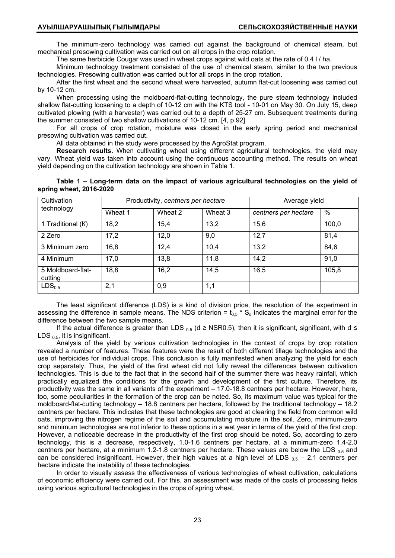The minimum-zero technology was carried out against the background of chemical steam, but mechanical presowing cultivation was carried out on all crops in the crop rotation.

The same herbicide Cougar was used in wheat crops against wild oats at the rate of 0.4 l / ha.

Minimum technology treatment consisted of the use of chemical steam, similar to the two previous technologies. Presowing cultivation was carried out for all crops in the crop rotation.

After the first wheat and the second wheat were harvested, autumn flat-cut loosening was carried out by 10-12 cm.

When processing using the moldboard-flat-cutting technology, the pure steam technology included shallow flat-cutting loosening to a depth of 10-12 cm with the KTS tool - 10-01 on May 30. On July 15, deep cultivated plowing (with a harvester) was carried out to a depth of 25-27 cm. Subsequent treatments during the summer consisted of two shallow cultivations of 10-12 cm. [4, p.92]

For all crops of crop rotation, moisture was closed in the early spring period and mechanical presowing cultivation was carried out.

All data obtained in the study were processed by the AgroStat program.

**Research results.** When cultivating wheat using different agricultural technologies, the yield may vary. Wheat yield was taken into account using the continuous accounting method. The results on wheat yield depending on the cultivation technology are shown in Table 1.

**Table 1 – Long-term data on the impact of various agricultural technologies on the yield of spring wheat, 2016-2020** 

| Cultivation                  |         | Productivity, centners per hectare | Average yield |                      |       |
|------------------------------|---------|------------------------------------|---------------|----------------------|-------|
| technology                   | Wheat 1 | Wheat 2                            | Wheat 3       | centners per hectare | %     |
| 1 Traditional (K)            | 18,2    | 15,4                               | 13,2          | 15,6                 | 100,0 |
| 2 Zero                       | 17,2    | 12,0                               | 9,0           | 12,7                 | 81,4  |
| 3 Minimum zero               | 16,8    | 12,4                               | 10,4          | 13,2                 | 84,6  |
| 4 Minimum                    | 17,0    | 13,8                               | 11,8          | 14,2                 | 91,0  |
| 5 Moldboard-flat-<br>cutting | 18,8    | 16,2                               | 14,5          | 16,5                 | 105,8 |
| LDS <sub>0.5</sub>           | 2,1     | 0,9                                | 1,1           |                      |       |

The least significant difference (LDS) is a kind of division price, the resolution of the experiment in assessing the difference in sample means. The NDS criterion =  $t_{0.5}$  \* S<sub>d</sub> indicates the marginal error for the difference between the two sample means.

If the actual difference is greater than LDS  $_{0.5}$  (d ≥ NSR0.5), then it is significant, significant, with d  $\le$ LDS  $_{0.5}$ , it is insignificant.

Analysis of the yield by various cultivation technologies in the context of crops by crop rotation revealed a number of features. These features were the result of both different tillage technologies and the use of herbicides for individual crops. This conclusion is fully manifested when analyzing the yield for each crop separately. Thus, the yield of the first wheat did not fully reveal the differences between cultivation technologies. This is due to the fact that in the second half of the summer there was heavy rainfall, which practically equalized the conditions for the growth and development of the first culture. Therefore, its productivity was the same in all variants of the experiment – 17.0-18.8 centners per hectare. However, here, too, some peculiarities in the formation of the crop can be noted. So, its maximum value was typical for the moldboard-flat-cutting technology – 18.8 centners per hectare, followed by the traditional technology – 18.2 centners per hectare. This indicates that these technologies are good at clearing the field from common wild oats, improving the nitrogen regime of the soil and accumulating moisture in the soil. Zero, minimum-zero and minimum technologies are not inferior to these options in a wet year in terms of the yield of the first crop. However, a noticeable decrease in the productivity of the first crop should be noted. So, according to zero technology, this is a decrease, respectively, 1.0-1.6 centners per hectare, at a minimum-zero 1.4-2.0 centners per hectare, at a minimum 1.2-1.8 centners per hectare. These values are below the LDS  $_{0.5}$  and can be considered insignificant. However, their high values at a high level of LDS  $_{0.5}$  – 2.1 centners per hectare indicate the instability of these technologies.

In order to visually assess the effectiveness of various technologies of wheat cultivation, calculations of economic efficiency were carried out. For this, an assessment was made of the costs of processing fields using various agricultural technologies in the crops of spring wheat.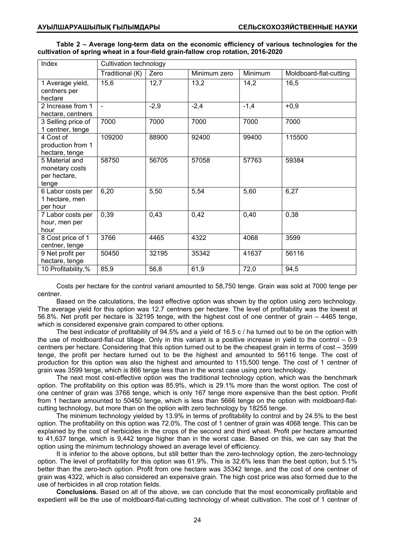|                                                                                   |  |  |  |  | Table 2 – Average long-term data on the economic efficiency of various technologies for the |  |
|-----------------------------------------------------------------------------------|--|--|--|--|---------------------------------------------------------------------------------------------|--|
| cultivation of spring wheat in a four-field grain-fallow crop rotation, 2016-2020 |  |  |  |  |                                                                                             |  |

| Index                                                     | Cultivation technology |        |              |                |                        |  |  |
|-----------------------------------------------------------|------------------------|--------|--------------|----------------|------------------------|--|--|
|                                                           | Traditional (K)        | Zero   | Minimum zero | <b>Minimum</b> | Moldboard-flat-cutting |  |  |
| 1 Average yield,<br>centners per<br>hectare               | 15,6                   | 12,7   | 13,2         | 14,2           | 16,5                   |  |  |
| 2 Increase from 1<br>hectare, centners                    | $\blacksquare$         | $-2,9$ | $-2,4$       | $-1,4$         | $+0.9$                 |  |  |
| 3 Selling price of<br>1 centner, tenge                    | 7000                   | 7000   | 7000         | 7000           | 7000                   |  |  |
| 4 Cost of<br>production from 1<br>hectare, tenge          | 109200                 | 88900  | 92400        | 99400          | 115500                 |  |  |
| 5 Material and<br>monetary costs<br>per hectare,<br>tenge | 58750                  | 56705  | 57058        | 57763          | 59384                  |  |  |
| 6 Labor costs per<br>1 hectare, men<br>per hour           | 6,20                   | 5,50   | 5,54         | 5,60           | 6,27                   |  |  |
| 7 Labor costs per<br>hour, men per<br>hour                | 0,39                   | 0,43   | 0,42         | 0,40           | 0,38                   |  |  |
| 8 Cost price of 1<br>centner, tenge                       | 3766                   | 4465   | 4322         | 4068           | 3599                   |  |  |
| 9 Net profit per<br>hectare, tenge                        | 50450                  | 32195  | 35342        | 41637          | 56116                  |  |  |
| 10 Profitability,%                                        | 85,9                   | 56,8   | 61,9         | 72,0           | 94,5                   |  |  |

Costs per hectare for the control variant amounted to 58,750 tenge. Grain was sold at 7000 tenge per centner.

Based on the calculations, the least effective option was shown by the option using zero technology. The average yield for this option was 12.7 centners per hectare. The level of profitability was the lowest at 56.8%. Net profit per hectare is 32195 tenge, with the highest cost of one centner of grain – 4465 tenge, which is considered expensive grain compared to other options.

The best indicator of profitability of 94.5% and a yield of 16.5 c / ha turned out to be on the option with the use of moldboard-flat-cut tillage. Only in this variant is a positive increase in yield to the control – 0.9 centners per hectare. Considering that this option turned out to be the cheapest grain in terms of cost – 3599 tenge, the profit per hectare turned out to be the highest and amounted to 56116 tenge. The cost of production for this option was also the highest and amounted to 115,500 tenge. The cost of 1 centner of grain was 3599 tenge, which is 866 tenge less than in the worst case using zero technology.

The next most cost-effective option was the traditional technology option, which was the benchmark option. The profitability on this option was 85.9%, which is 29.1% more than the worst option. The cost of one centner of grain was 3766 tenge, which is only 167 tenge more expensive than the best option. Profit from 1 hectare amounted to 50450 tenge, which is less than 5666 tenge on the option with moldboard-flatcutting technology, but more than on the option with zero technology by 18255 tenge.

The minimum technology yielded by 13.9% in terms of profitability to control and by 24.5% to the best option. The profitability on this option was 72.0%. The cost of 1 centner of grain was 4068 tenge. This can be explained by the cost of herbicides in the crops of the second and third wheat. Profit per hectare amounted to 41,637 tenge, which is 9,442 tenge higher than in the worst case. Based on this, we can say that the option using the minimum technology showed an average level of efficiency.

It is inferior to the above options, but still better than the zero-technology option, the zero-technology option. The level of profitability for this option was 61.9%. This is 32.6% less than the best option, but 5.1% better than the zero-tech option. Profit from one hectare was 35342 tenge, and the cost of one centner of grain was 4322, which is also considered an expensive grain. The high cost price was also formed due to the use of herbicides in all crop rotation fields.

**Conclusions.** Based on all of the above, we can conclude that the most economically profitable and expedient will be the use of moldboard-flat-cutting technology of wheat cultivation. The cost of 1 centner of